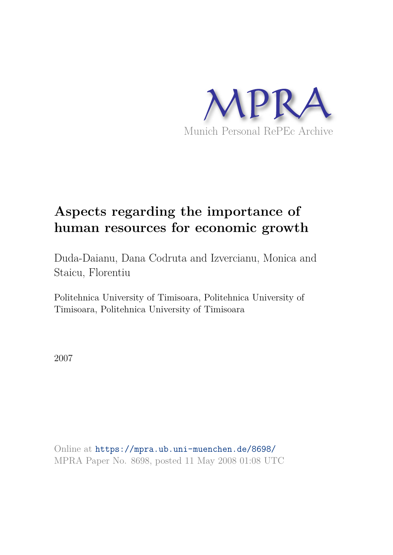

# **Aspects regarding the importance of human resources for economic growth**

Duda-Daianu, Dana Codruta and Izvercianu, Monica and Staicu, Florentiu

Politehnica University of Timisoara, Politehnica University of Timisoara, Politehnica University of Timisoara

2007

Online at https://mpra.ub.uni-muenchen.de/8698/ MPRA Paper No. 8698, posted 11 May 2008 01:08 UTC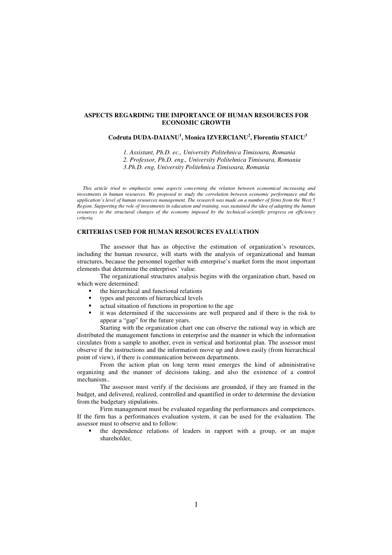### **ASPECTS REGARDING THE IMPORTANCE OF HUMAN RESOURCES FOR ECONOMIC GROWTH**

# **Codruta DUDA-DAIANU<sup>1</sup> , Monica IZVERCIANU<sup>2</sup> , Florentiu STAICU<sup>3</sup>**

*1. Assistant, Ph.D. ec., University Politehnica Timisoara, Romania 2. Professor, Ph.D. eng., University Politehnica Timisoara, Romania 3.Ph.D. eng, University Politehnica Timisoara, Romania* 

*This article tried to emphasize some aspects concerning the relation between economical increasing and investments in human resources. We proposed to study the correlation between economic performance and the application's level of human resources management. The research was made on a number of firms from the West 5 Region. Supporting the role of investments in education and training, was sustained the idea of adapting the human resources to the structural changes of the economy imposed by the technical-scientific progress on efficiency criteria.* 

# **CRITERIAS USED FOR HUMAN RESOURCES EVALUATION**

The assessor that has as objective the estimation of organization's resources, including the human resource, will starts with the analysis of organizational and human structures, because the personnel together with enterprise's market form the most important elements that determine the enterprises' value.

The organizational structures analysis begins with the organization chart, based on which were determined:

- the hierarchical and functional relations
- types and percents of hierarchical levels
- actual situation of functions in proportion to the age
- it was determined if the successions are well prepared and if there is the risk to appear a "gap" for the future years.

Starting with the organization chart one can observe the rational way in which are distributed the management functions in enterprise and the manner in which the information circulates from a sample to another, even in vertical and horizontal plan. The assessor must observe if the instructions and the information move up and down easily (from hierarchical point of view), if there is communication between departments.

From the action plan on long term must emerges the kind of administrative organizing and the manner of decisions taking, and also the existence of a control mechanism..

The assessor must verify if the decisions are grounded, if they are framed in the budget, and delivered, realized, controlled and quantified in order to determine the deviation from the budgetary stipulations.

Firm management must be evaluated regarding the performances and competences. If the firm has a performances evaluation system, it can be used for the evaluation. The assessor must to observe and to follow:

 the dependence relations of leaders in rapport with a group, or an major shareholder,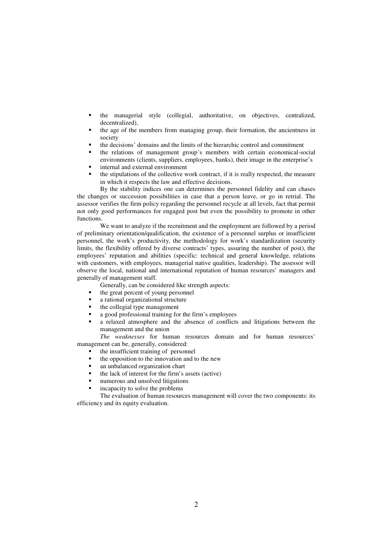- the managerial style (collegial, authoritative, on objectives, centralized, decentralized),
- the age of the members from managing group, their formation, the ancientness in society
- the decisions' domains and the limits of the hierarchic control and commitment
- the relations of management group's members with certain economical-social environments (clients, suppliers, employees, banks), their image in the enterprise's
- internal and external environment
- the stipulations of the collective work contract, if it is really respected, the measure in which it respects the law and effective decisions.

By the stability indices one can determines the personnel fidelity and can chases the changes or succession possibilities in case that a person leave, or go in retrial. The assessor verifies the firm policy regarding the personnel recycle at all levels, fact that permit not only good performances for engaged post but even the possibility to promote in other functions.

We want to analyze if the recruitment and the employment are followed by a period of preliminary orientation/qualification, the existence of a personnel surplus or insufficient personnel, the work's productivity, the methodology for work's standardization (security limits, the flexibility offered by diverse contracts' types, assuring the number of post), the employees' reputation and abilities (specific: technical and general knowledge, relations with customers, with employees, managerial native qualities, leadership). The assessor will observe the local, national and international reputation of human resources' managers and generally of management staff.

- Generally, can be considered like strength aspects:
- the great percent of young personnel
- a rational organizational structure
- the collegial type management
- a good professional training for the firm's employees
- a relaxed atmosphere and the absence of conflicts and litigations between the management and the union

*The weaknesses* for human resources domain and for human resources' management can be, generally, considered:

- the insufficient training of personnel
- $\blacksquare$  the opposition to the innovation and to the new
- an unbalanced organization chart
- the lack of interest for the firm's assets (active)
- numerous and unsolved litigations
- incapacity to solve the problems

The evaluation of human resources management will cover the two components: its efficiency and its equity evaluation.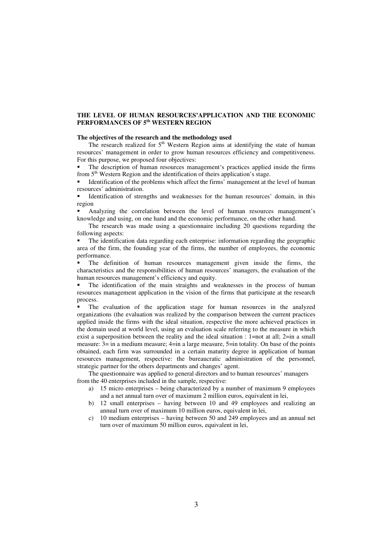# **THE LEVEL OF HUMAN RESOURCES'APPLICATION AND THE ECONOMIC PERFORMANCES OF 5th WESTERN REGION**

#### **The objectives of the research and the methodology used**

The research realized for  $5<sup>th</sup>$  Western Region aims at identifying the state of human resources' management in order to grow human resources efficiency and competitiveness. For this purpose, we proposed four objectives:

 The description of human resources management's practices applied inside the firms from 5<sup>th</sup> Western Region and the identification of theirs application's stage.

 Identification of the problems which affect the firms' management at the level of human resources' administration.

 Identification of strengths and weaknesses for the human resources' domain, in this region

 Analyzing the correlation between the level of human resources management's knowledge and using, on one hand and the economic performance, on the other hand.

The research was made using a questionnaire including 20 questions regarding the following aspects:

 The identification data regarding each enterprise: information regarding the geographic area of the firm, the founding year of the firms, the number of employees, the economic performance.

 The definition of human resources management given inside the firms, the characteristics and the responsibilities of human resources' managers, the evaluation of the human resources management's efficiency and equity.

 The identification of the main straights and weaknesses in the process of human resources management application in the vision of the firms that participate at the research process.

 The evaluation of the application stage for human resources in the analyzed organizations (the evaluation was realized by the comparison between the current practices applied inside the firms with the ideal situation, respective the more achieved practices in the domain used at world level, using an evaluation scale referring to the measure in which exist a superposition between the reality and the ideal situation :  $1=$ not at all:  $2=$ in a small measure:  $3 =$  in a medium measure;  $4 =$ in a large measure,  $5 =$ in totality. On base of the points obtained, each firm was surrounded in a certain maturity degree in application of human resources management, respective: the bureaucratic administration of the personnel, strategic partner for the others departments and changes' agent.

The questionnaire was applied to general directors and to human resources' managers from the 40 enterprises included in the sample, respective:

- a) 15 micro enterprises being characterized by a number of maximum 9 employees and a net annual turn over of maximum 2 million euros, equivalent in lei,
- b) 12 small enterprises having between 10 and 49 employees and realizing an annual turn over of maximum 10 million euros, equivalent in lei,
- c) 10 medium enterprises having between 50 and 249 employees and an annual net turn over of maximum 50 million euros, equivalent in lei,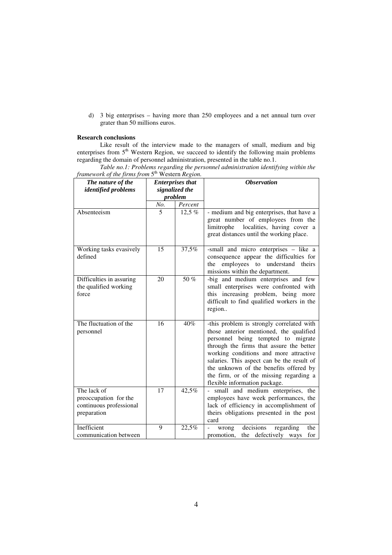d) 3 big enterprises – having more than 250 employees and a net annual turn over grater than 50 millions euros.

# **Research conclusions**

Like result of the interview made to the managers of small, medium and big enterprises from 5<sup>th</sup> Western Region, we succeed to identify the following main problems regarding the domain of personnel administration, presented in the table no.1.

| framework of the firms from 5" Western Region. |                         |         |                                                                                |  |  |
|------------------------------------------------|-------------------------|---------|--------------------------------------------------------------------------------|--|--|
| The nature of the                              | <b>Enterprises that</b> |         | <b>Observation</b>                                                             |  |  |
| <i>identified problems</i>                     | signalized the          |         |                                                                                |  |  |
|                                                | problem                 |         |                                                                                |  |  |
|                                                | No.                     | Percent |                                                                                |  |  |
| Absenteeism                                    | 5                       | 12,5 %  | - medium and big enterprises, that have a                                      |  |  |
|                                                |                         |         | great number of employees from the                                             |  |  |
|                                                |                         |         | localities, having cover a<br>limitrophe                                       |  |  |
|                                                |                         |         | great distances until the working place.                                       |  |  |
| Working tasks evasively                        | 15                      | 37,5%   | -small and micro enterprises - like a                                          |  |  |
| defined                                        |                         |         | consequence appear the difficulties for                                        |  |  |
|                                                |                         |         | employees to understand<br>the<br>theirs                                       |  |  |
|                                                |                         |         | missions within the department.                                                |  |  |
| Difficulties in assuring                       | 20                      | 50 %    | -big and medium enterprises and few                                            |  |  |
| the qualified working                          |                         |         | small enterprises were confronted with                                         |  |  |
| force                                          |                         |         | this increasing problem, being more                                            |  |  |
|                                                |                         |         | difficult to find qualified workers in the                                     |  |  |
|                                                |                         |         | region                                                                         |  |  |
|                                                |                         |         |                                                                                |  |  |
| The fluctuation of the                         | 16                      | 40%     | -this problem is strongly correlated with                                      |  |  |
| personnel                                      |                         |         | those anterior mentioned, the qualified                                        |  |  |
|                                                |                         |         | personnel being tempted to migrate<br>through the firms that assure the better |  |  |
|                                                |                         |         | working conditions and more attractive                                         |  |  |
|                                                |                         |         | salaries. This aspect can be the result of                                     |  |  |
|                                                |                         |         | the unknown of the benefits offered by                                         |  |  |
|                                                |                         |         | the firm, or of the missing regarding a                                        |  |  |
|                                                |                         |         | flexible information package.                                                  |  |  |
| The lack of                                    | 17                      | 42,5%   | small and medium enterprises, the                                              |  |  |
| preoccupation for the                          |                         |         | employees have week performances, the                                          |  |  |
| continuous professional                        |                         |         | lack of efficiency in accomplishment of                                        |  |  |
| preparation                                    |                         |         | theirs obligations presented in the post                                       |  |  |
|                                                |                         |         | card                                                                           |  |  |
| Inefficient                                    | 9                       | 22,5%   | decisions<br>regarding<br>the<br>wrong                                         |  |  |
| communication between                          |                         |         | promotion, the defectively ways<br>for                                         |  |  |

*Table no.1: Problems regarding the personnel administration identifying within the*  framework of the firms from 5<sup>th</sup> Western Region.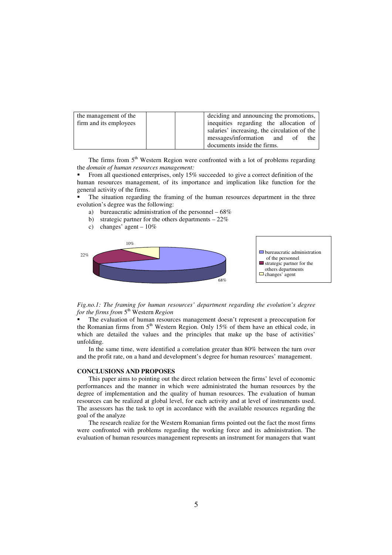| the management of the  | deciding and announcing the promotions,      |
|------------------------|----------------------------------------------|
| firm and its employees | inequities regarding the allocation of       |
|                        | salaries' increasing, the circulation of the |
|                        | messages/information and of<br>the           |
|                        | documents inside the firms.                  |

The firms from  $5<sup>th</sup>$  Western Region were confronted with a lot of problems regarding the *domain of human resources management:* 

 From all questioned enterprises, only 15% succeeded to give a correct definition of the human resources management, of its importance and implication like function for the general activity of the firms.

 The situation regarding the framing of the human resources department in the three evolution's degree was the following:

- a) bureaucratic administration of the personnel 68%
- b) strategic partner for the others departments 22%
- c) changes' agent  $-10\%$



*Fig.no.1: The framing for human resources' department regarding the evolution's degree*  for the firms from 5<sup>th</sup> Western Region

 The evaluation of human resources management doesn't represent a preoccupation for the Romanian firms from 5<sup>th</sup> Western Region. Only 15% of them have an ethical code, in which are detailed the values and the principles that make up the base of activities' unfolding.

 In the same time, were identified a correlation greater than 80% between the turn over and the profit rate, on a hand and development's degree for human resources' management.

#### **CONCLUSIONS AND PROPOSES**

This paper aims to pointing out the direct relation between the firms' level of economic performances and the manner in which were administrated the human resources by the degree of implementation and the quality of human resources. The evaluation of human resources can be realized at global level, for each activity and at level of instruments used. The assessors has the task to opt in accordance with the available resources regarding the goal of the analyze

The research realize for the Western Romanian firms pointed out the fact the most firms were confronted with problems regarding the working force and its administration. The evaluation of human resources management represents an instrument for managers that want